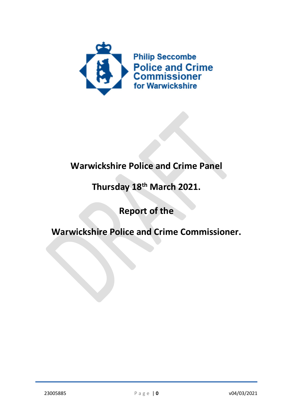

## Warwickshire Police and Crime Panel

# Thursday 18th March 2021.

## Report of the

## Warwickshire Police and Crime Commissioner.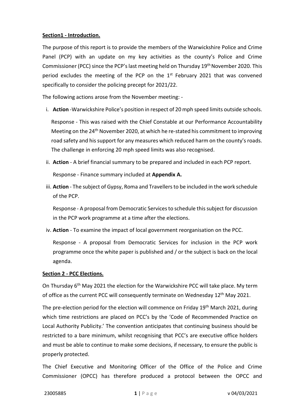## Section1 - Introduction.

The purpose of this report is to provide the members of the Warwickshire Police and Crime Panel (PCP) with an update on my key activities as the county's Police and Crime Commissioner (PCC) since the PCP's last meeting held on Thursday 19th November 2020. This period excludes the meeting of the PCP on the  $1<sup>st</sup>$  February 2021 that was convened specifically to consider the policing precept for 2021/22.

The following actions arose from the November meeting: -

i. Action -Warwickshire Police's position in respect of 20 mph speed limits outside schools.

Response - This was raised with the Chief Constable at our Performance Accountability Meeting on the  $24<sup>th</sup>$  November 2020, at which he re-stated his commitment to improving road safety and his support for any measures which reduced harm on the county's roads. The challenge in enforcing 20 mph speed limits was also recognised.

ii. Action - A brief financial summary to be prepared and included in each PCP report.

Response - Finance summary included at Appendix A.

iii. Action - The subject of Gypsy, Roma and Travellers to be included in the work schedule of the PCP.

Response - A proposal from Democratic Services to schedule this subject for discussion in the PCP work programme at a time after the elections.

iv. Action - To examine the impact of local government reorganisation on the PCC.

Response - A proposal from Democratic Services for inclusion in the PCP work programme once the white paper is published and / or the subject is back on the local agenda.

#### Section 2 - PCC Elections.

On Thursday 6th May 2021 the election for the Warwickshire PCC will take place. My term of office as the current PCC will consequently terminate on Wednesday 12<sup>th</sup> May 2021.

The pre-election period for the election will commence on Friday 19<sup>th</sup> March 2021, during which time restrictions are placed on PCC's by the 'Code of Recommended Practice on Local Authority Publicity.' The convention anticipates that continuing business should be restricted to a bare minimum, whilst recognising that PCC's are executive office holders and must be able to continue to make some decisions, if necessary, to ensure the public is properly protected.

The Chief Executive and Monitoring Officer of the Office of the Police and Crime Commissioner (OPCC) has therefore produced a protocol between the OPCC and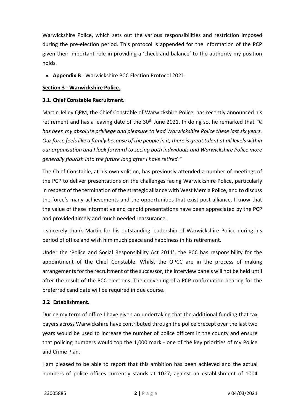Warwickshire Police, which sets out the various responsibilities and restriction imposed during the pre-election period. This protocol is appended for the information of the PCP given their important role in providing a 'check and balance' to the authority my position holds.

• Appendix B - Warwickshire PCC Election Protocol 2021.

#### Section 3 - Warwickshire Police.

#### 3.1. Chief Constable Recruitment.

Martin Jelley QPM, the Chief Constable of Warwickshire Police, has recently announced his retirement and has a leaving date of the  $30<sup>th</sup>$  June 2021. In doing so, he remarked that "It has been my absolute privilege and pleasure to lead Warwickshire Police these last six years. Our force feels like a family because of the people in it, there is great talent at all levels within our organisation and I look forward to seeing both individuals and Warwickshire Police more generally flourish into the future long after I have retired."

The Chief Constable, at his own volition, has previously attended a number of meetings of the PCP to deliver presentations on the challenges facing Warwickshire Police, particularly in respect of the termination of the strategic alliance with West Mercia Police, and to discuss the force's many achievements and the opportunities that exist post-alliance. I know that the value of these informative and candid presentations have been appreciated by the PCP and provided timely and much needed reassurance.

I sincerely thank Martin for his outstanding leadership of Warwickshire Police during his period of office and wish him much peace and happiness in his retirement.

Under the 'Police and Social Responsibility Act 2011', the PCC has responsibility for the appointment of the Chief Constable. Whilst the OPCC are in the process of making arrangements for the recruitment of the successor, the interview panels will not be held until after the result of the PCC elections. The convening of a PCP confirmation hearing for the preferred candidate will be required in due course.

## 3.2 Establishment.

During my term of office I have given an undertaking that the additional funding that tax payers across Warwickshire have contributed through the police precept over the last two years would be used to increase the number of police officers in the county and ensure that policing numbers would top the 1,000 mark - one of the key priorities of my Police and Crime Plan.

I am pleased to be able to report that this ambition has been achieved and the actual numbers of police offices currently stands at 1027, against an establishment of 1004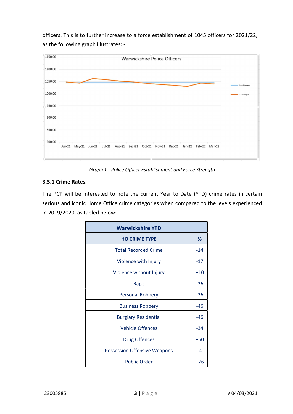officers. This is to further increase to a force establishment of 1045 officers for 2021/22, as the following graph illustrates: -



Graph 1 - Police Officer Establishment and Force Strength

## 3.3.1 Crime Rates.

The PCP will be interested to note the current Year to Date (YTD) crime rates in certain serious and iconic Home Office crime categories when compared to the levels experienced in 2019/2020, as tabled below: -

| <b>Warwickshire YTD</b>             |       |
|-------------------------------------|-------|
| <b>HO CRIME TYPE</b>                | ℅     |
| <b>Total Recorded Crime</b>         | $-14$ |
| Violence with Injury                | $-17$ |
| Violence without Injury             | $+10$ |
| Rape                                | $-26$ |
| <b>Personal Robbery</b>             | $-26$ |
| <b>Business Robbery</b>             | -46   |
| <b>Burglary Residential</b>         | $-46$ |
| <b>Vehicle Offences</b>             | $-34$ |
| <b>Drug Offences</b>                | $+50$ |
| <b>Possession Offensive Weapons</b> | $-4$  |
| <b>Public Order</b>                 | $+26$ |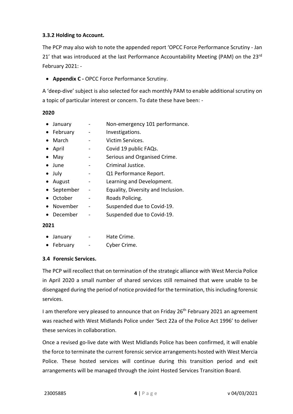## 3.3.2 Holding to Account.

The PCP may also wish to note the appended report 'OPCC Force Performance Scrutiny - Jan 21' that was introduced at the last Performance Accountability Meeting (PAM) on the  $23<sup>rd</sup>$ February 2021: -

## • Appendix C - OPCC Force Performance Scrutiny.

A 'deep-dive' subject is also selected for each monthly PAM to enable additional scrutiny on a topic of particular interest or concern. To date these have been: -

#### 2020

- January Non-emergency 101 performance.
- February Investigations.
- March Victim Services.
- April Covid 19 public FAQs.
- May **-** Serious and Organised Crime.
- June Criminal Justice.
- July  **Q1 Performance Report.**
- August Learning and Development.
- September Equality, Diversity and Inclusion.
- October Roads Policing.
- November Suspended due to Covid-19.
- December Suspended due to Covid-19.

#### 2021

- January Hate Crime.
- February Cyber Crime.

#### 3.4 Forensic Services.

The PCP will recollect that on termination of the strategic alliance with West Mercia Police in April 2020 a small number of shared services still remained that were unable to be disengaged during the period of notice provided for the termination, this including forensic services.

I am therefore very pleased to announce that on Friday 26<sup>th</sup> February 2021 an agreement was reached with West Midlands Police under 'Sect 22a of the Police Act 1996' to deliver these services in collaboration.

Once a revised go-live date with West Midlands Police has been confirmed, it will enable the force to terminate the current forensic service arrangements hosted with West Mercia Police. These hosted services will continue during this transition period and exit arrangements will be managed through the Joint Hosted Services Transition Board.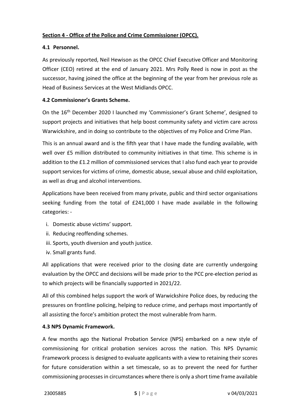## Section 4 - Office of the Police and Crime Commissioner (OPCC).

#### 4.1 Personnel.

As previously reported, Neil Hewison as the OPCC Chief Executive Officer and Monitoring Officer (CEO) retired at the end of January 2021. Mrs Polly Reed is now in post as the successor, having joined the office at the beginning of the year from her previous role as Head of Business Services at the West Midlands OPCC.

## 4.2 Commissioner's Grants Scheme.

On the 16th December 2020 I launched my 'Commissioner's Grant Scheme', designed to support projects and initiatives that help boost community safety and victim care across Warwickshire, and in doing so contribute to the objectives of my Police and Crime Plan.

This is an annual award and is the fifth year that I have made the funding available, with well over £5 million distributed to community initiatives in that time. This scheme is in addition to the £1.2 million of commissioned services that I also fund each year to provide support services for victims of crime, domestic abuse, sexual abuse and child exploitation, as well as drug and alcohol interventions.

Applications have been received from many private, public and third sector organisations seeking funding from the total of £241,000 I have made available in the following categories: -

- i. Domestic abuse victims' support.
- ii. Reducing reoffending schemes.
- iii. Sports, youth diversion and youth justice.
- iv. Small grants fund.

All applications that were received prior to the closing date are currently undergoing evaluation by the OPCC and decisions will be made prior to the PCC pre-election period as to which projects will be financially supported in 2021/22.

All of this combined helps support the work of Warwickshire Police does, by reducing the pressures on frontline policing, helping to reduce crime, and perhaps most importantly of all assisting the force's ambition protect the most vulnerable from harm.

## 4.3 NPS Dynamic Framework.

A few months ago the National Probation Service (NPS) embarked on a new style of commissioning for critical probation services across the nation. This NPS Dynamic Framework process is designed to evaluate applicants with a view to retaining their scores for future consideration within a set timescale, so as to prevent the need for further commissioning processes in circumstances where there is only a short time frame available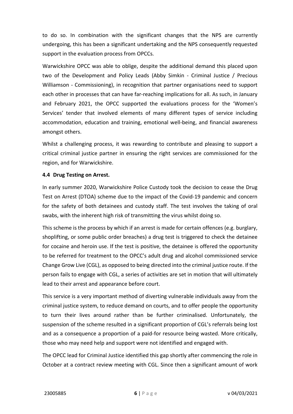to do so. In combination with the significant changes that the NPS are currently undergoing, this has been a significant undertaking and the NPS consequently requested support in the evaluation process from OPCCs.

Warwickshire OPCC was able to oblige, despite the additional demand this placed upon two of the Development and Policy Leads (Abby Simkin - Criminal Justice / Precious Williamson - Commissioning), in recognition that partner organisations need to support each other in processes that can have far-reaching implications for all. As such, in January and February 2021, the OPCC supported the evaluations process for the 'Women's Services' tender that involved elements of many different types of service including accommodation, education and training, emotional well-being, and financial awareness amongst others.

Whilst a challenging process, it was rewarding to contribute and pleasing to support a critical criminal justice partner in ensuring the right services are commissioned for the region, and for Warwickshire.

#### 4.4 Drug Testing on Arrest.

In early summer 2020, Warwickshire Police Custody took the decision to cease the Drug Test on Arrest (DTOA) scheme due to the impact of the Covid-19 pandemic and concern for the safety of both detainees and custody staff. The test involves the taking of oral swabs, with the inherent high risk of transmitting the virus whilst doing so.

This scheme is the process by which if an arrest is made for certain offences (e.g. burglary, shoplifting, or some public order breaches) a drug test is triggered to check the detainee for cocaine and heroin use. If the test is positive, the detainee is offered the opportunity to be referred for treatment to the OPCC's adult drug and alcohol commissioned service Change Grow Live (CGL), as opposed to being directed into the criminal justice route. If the person fails to engage with CGL, a series of activities are set in motion that will ultimately lead to their arrest and appearance before court.

This service is a very important method of diverting vulnerable individuals away from the criminal justice system, to reduce demand on courts, and to offer people the opportunity to turn their lives around rather than be further criminalised. Unfortunately, the suspension of the scheme resulted in a significant proportion of CGL's referrals being lost and as a consequence a proportion of a paid-for resource being wasted. More critically, those who may need help and support were not identified and engaged with.

The OPCC lead for Criminal Justice identified this gap shortly after commencing the role in October at a contract review meeting with CGL. Since then a significant amount of work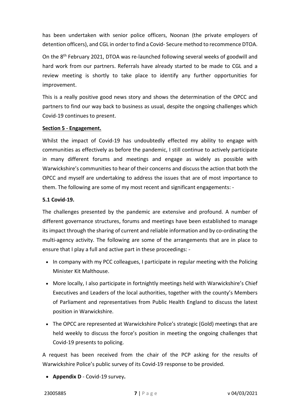has been undertaken with senior police officers, Noonan (the private employers of detention officers), and CGL in order to find a Covid- Secure method to recommence DTOA.

On the 8th February 2021, DTOA was re-launched following several weeks of goodwill and hard work from our partners. Referrals have already started to be made to CGL and a review meeting is shortly to take place to identify any further opportunities for improvement.

This is a really positive good news story and shows the determination of the OPCC and partners to find our way back to business as usual, despite the ongoing challenges which Covid-19 continues to present.

#### Section 5 - Engagement.

Whilst the impact of Covid-19 has undoubtedly effected my ability to engage with communities as effectively as before the pandemic, I still continue to actively participate in many different forums and meetings and engage as widely as possible with Warwickshire's communities to hear of their concerns and discuss the action that both the OPCC and myself are undertaking to address the issues that are of most importance to them. The following are some of my most recent and significant engagements: -

#### 5.1 Covid-19.

The challenges presented by the pandemic are extensive and profound. A number of different governance structures, forums and meetings have been established to manage its impact through the sharing of current and reliable information and by co-ordinating the multi-agency activity. The following are some of the arrangements that are in place to ensure that I play a full and active part in these proceedings: -

- In company with my PCC colleagues, I participate in regular meeting with the Policing Minister Kit Malthouse.
- More locally, I also participate in fortnightly meetings held with Warwickshire's Chief Executives and Leaders of the local authorities, together with the county's Members of Parliament and representatives from Public Health England to discuss the latest position in Warwickshire.
- The OPCC are represented at Warwickshire Police's strategic (Gold) meetings that are held weekly to discuss the force's position in meeting the ongoing challenges that Covid-19 presents to policing.

A request has been received from the chair of the PCP asking for the results of Warwickshire Police's public survey of its Covid-19 response to be provided.

• Appendix D - Covid-19 survey.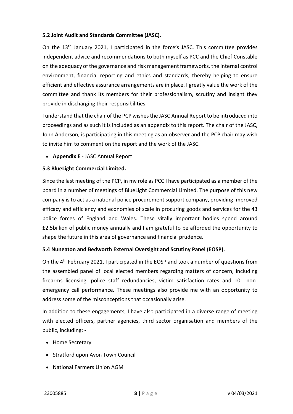## 5.2 Joint Audit and Standards Committee (JASC).

On the 13<sup>th</sup> January 2021, I participated in the force's JASC. This committee provides independent advice and recommendations to both myself as PCC and the Chief Constable on the adequacy of the governance and risk management frameworks, the internal control environment, financial reporting and ethics and standards, thereby helping to ensure efficient and effective assurance arrangements are in place. I greatly value the work of the committee and thank its members for their professionalism, scrutiny and insight they provide in discharging their responsibilities.

I understand that the chair of the PCP wishes the JASC Annual Report to be introduced into proceedings and as such it is included as an appendix to this report. The chair of the JASC, John Anderson, is participating in this meeting as an observer and the PCP chair may wish to invite him to comment on the report and the work of the JASC.

• Appendix E - JASC Annual Report

#### 5.3 BlueLight Commercial Limited.

Since the last meeting of the PCP, in my role as PCC I have participated as a member of the board in a number of meetings of BlueLight Commercial Limited. The purpose of this new company is to act as a national police procurement support company, providing improved efficacy and efficiency and economies of scale in procuring goods and services for the 43 police forces of England and Wales. These vitally important bodies spend around £2.5billion of public money annually and I am grateful to be afforded the opportunity to shape the future in this area of governance and financial prudence.

#### 5.4 Nuneaton and Bedworth External Oversight and Scrutiny Panel (EOSP).

On the 4th February 2021, I participated in the EOSP and took a number of questions from the assembled panel of local elected members regarding matters of concern, including firearms licensing, police staff redundancies, victim satisfaction rates and 101 nonemergency call performance. These meetings also provide me with an opportunity to address some of the misconceptions that occasionally arise.

In addition to these engagements, I have also participated in a diverse range of meeting with elected officers, partner agencies, third sector organisation and members of the public, including: -

- Home Secretary
- Stratford upon Avon Town Council
- National Farmers Union AGM